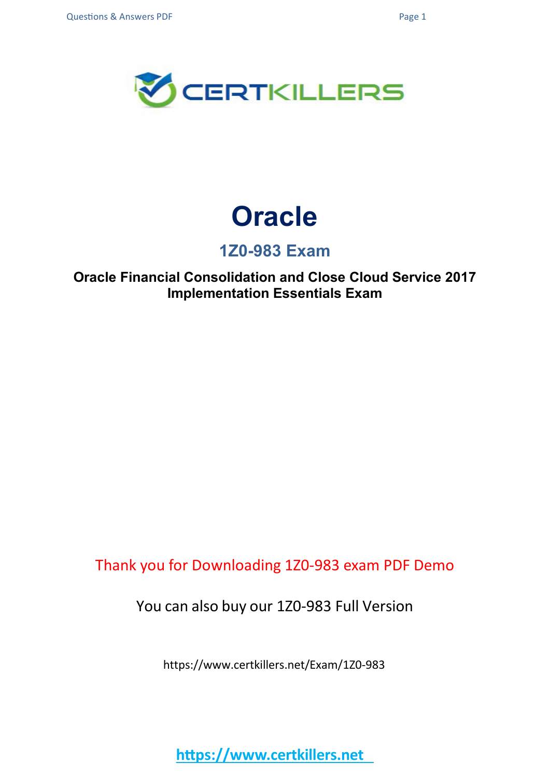

## **Oracle**

### **1Z0-983 Exam**

**Oracle Financial Consolidation and Close Cloud Service 2017 Implementation Essentials Exam**

Thank you for Downloading 1Z0-983 exam PDF Demo

You can also buy our 1Z0-983 Full Version

https://www.certkillers.net/Exam/1Z0-983

**https://www.certkillers.net**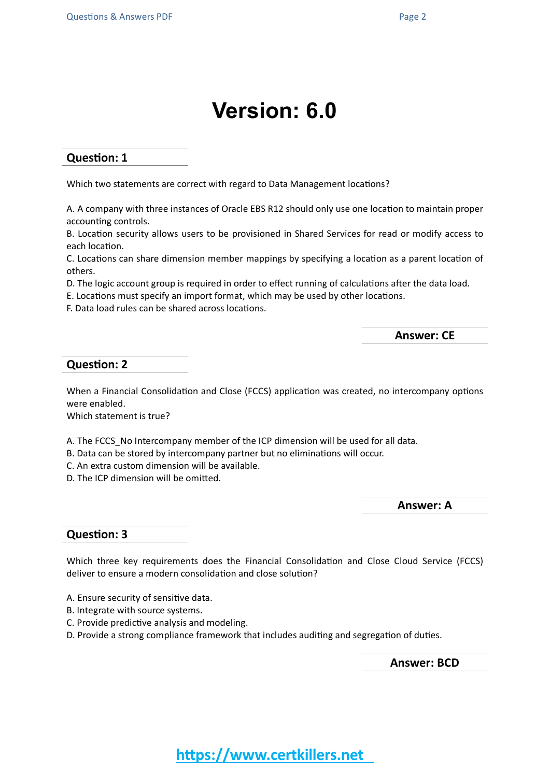## **Version: 6.0**

#### **Question: 1**

Which two statements are correct with regard to Data Management locations?

A. A company with three instances of Oracle EBS R12 should only use one location to maintain proper accounting controls.

B. Location security allows users to be provisioned in Shared Services for read or modify access to each location.

C. Locations can share dimension member mappings by specifying a location as a parent location of others.

D. The logic account group is required in order to effect running of calculations after the data load.

E. Locations must specify an import format, which may be used by other locations.

F. Data load rules can be shared across locations.

**Answer: CE**

#### **Question: 2**

When a Financial Consolidation and Close (FCCS) application was created, no intercompany options were enabled.

Which statement is true?

A. The FCCS\_No Intercompany member of the ICP dimension will be used for all data.

- B. Data can be stored by intercompany partner but no eliminations will occur.
- C. An extra custom dimension will be available.
- D. The ICP dimension will be omitted.

**Answer: A**

#### **Question: 3**

Which three key requirements does the Financial Consolidation and Close Cloud Service (FCCS) deliver to ensure a modern consolidation and close solution?

- A. Ensure security of sensitive data.
- B. Integrate with source systems.
- C. Provide predictive analysis and modeling.
- D. Provide a strong compliance framework that includes auditing and segregation of duties.

**Answer: BCD**

### **https://www.certkillers.net**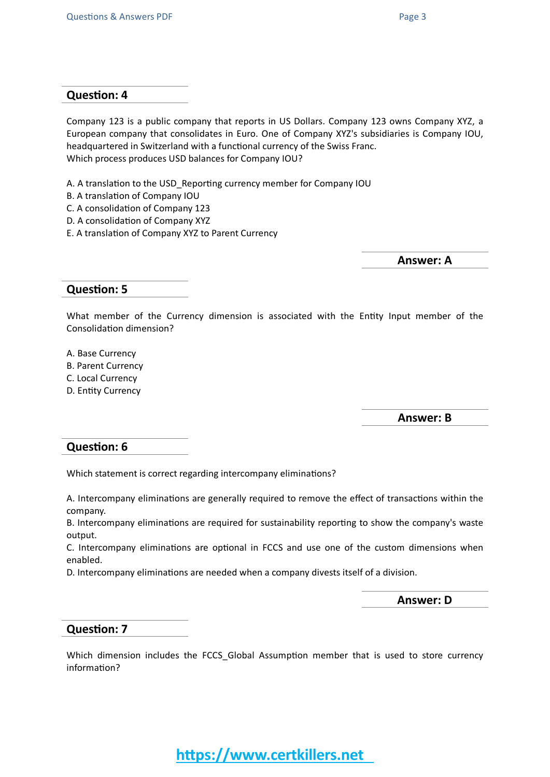#### **Question: 4**

Company 123 is a public company that reports in US Dollars. Company 123 owns Company XYZ, a European company that consolidates in Euro. One of Company XYZ's subsidiaries is Company IOU, headquartered in Switzerland with a functional currency of the Swiss Franc. Which process produces USD balances for Company IOU?

- A. A translation to the USD\_Reporting currency member for Company IOU
- B. A translation of Company IOU
- C. A consolidation of Company 123
- D. A consolidation of Company XYZ
- E. A translation of Company XYZ to Parent Currency

**Answer: A**

#### **Question: 5**

What member of the Currency dimension is associated with the Entity Input member of the Consolidation dimension?

A. Base Currency

- B. Parent Currency
- C. Local Currency
- D. Entity Currency

**Answer: B**

#### **Question: 6**

Which statement is correct regarding intercompany eliminations?

A. Intercompany eliminations are generally required to remove the effect of transactions within the company.

B. Intercompany eliminations are required for sustainability reporting to show the company's waste output.

C. Intercompany eliminations are optional in FCCS and use one of the custom dimensions when enabled.

D. Intercompany eliminations are needed when a company divests itself of a division.

**Answer: D**

#### **Question: 7**

Which dimension includes the FCCS\_Global Assumption member that is used to store currency information?

**https://www.certkillers.net**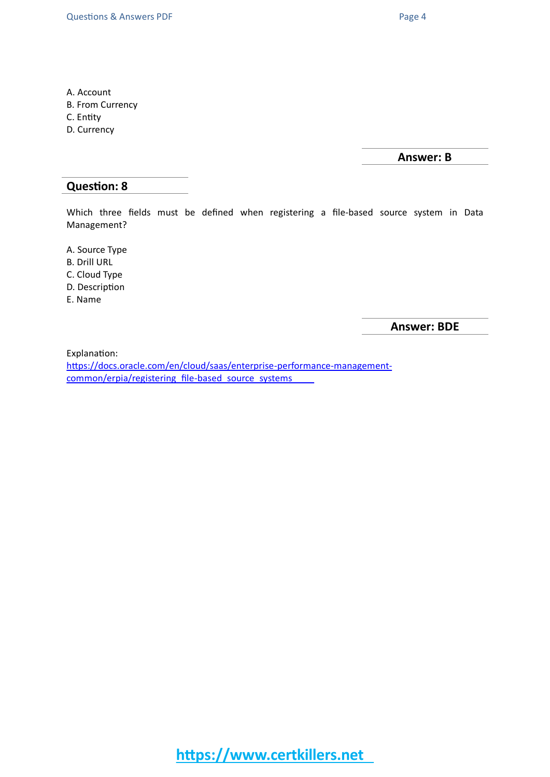- A. Account
- B. From Currency
- C. Entity
- D. Currency

**Answer: B**

#### **Question: 8**

Which three fields must be defined when registering a file-based source system in Data Management?

A. Source Type

- B. Drill URL
- C. Cloud Type
- D. Description
- E. Name

**Answer: BDE**

Explanation:

[https://docs.oracle.com/en/cloud/saas/enterprise-performance-management](https://docs.oracle.com/en/cloud/saas/enterprise-performance-management-common/erpia/registering_file-based_source_systems.html)[common/erpia/registering\\_file-based\\_source\\_systems](https://docs.oracle.com/en/cloud/saas/enterprise-performance-management-common/erpia/registering_file-based_source_systems.html)